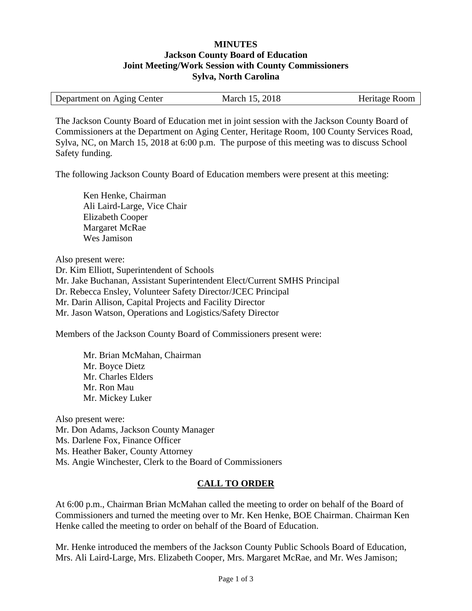## **MINUTES Jackson County Board of Education Joint Meeting/Work Session with County Commissioners Sylva, North Carolina**

| Department on Aging Center | March 15, 2018 | Heritage Room |
|----------------------------|----------------|---------------|
|                            |                |               |

The Jackson County Board of Education met in joint session with the Jackson County Board of Commissioners at the Department on Aging Center, Heritage Room, 100 County Services Road, Sylva, NC, on March 15, 2018 at 6:00 p.m. The purpose of this meeting was to discuss School Safety funding.

The following Jackson County Board of Education members were present at this meeting:

Ken Henke, Chairman Ali Laird-Large, Vice Chair Elizabeth Cooper Margaret McRae Wes Jamison

Also present were:

Dr. Kim Elliott, Superintendent of Schools Mr. Jake Buchanan, Assistant Superintendent Elect/Current SMHS Principal Dr. Rebecca Ensley, Volunteer Safety Director/JCEC Principal Mr. Darin Allison, Capital Projects and Facility Director Mr. Jason Watson, Operations and Logistics/Safety Director

Members of the Jackson County Board of Commissioners present were:

Mr. Brian McMahan, Chairman Mr. Boyce Dietz Mr. Charles Elders Mr. Ron Mau Mr. Mickey Luker

Also present were: Mr. Don Adams, Jackson County Manager Ms. Darlene Fox, Finance Officer Ms. Heather Baker, County Attorney Ms. Angie Winchester, Clerk to the Board of Commissioners

## **CALL TO ORDER**

At 6:00 p.m., Chairman Brian McMahan called the meeting to order on behalf of the Board of Commissioners and turned the meeting over to Mr. Ken Henke, BOE Chairman. Chairman Ken Henke called the meeting to order on behalf of the Board of Education.

Mr. Henke introduced the members of the Jackson County Public Schools Board of Education, Mrs. Ali Laird-Large, Mrs. Elizabeth Cooper, Mrs. Margaret McRae, and Mr. Wes Jamison;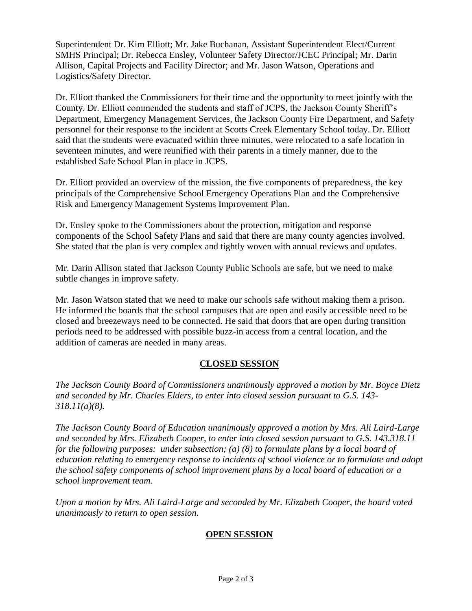Superintendent Dr. Kim Elliott; Mr. Jake Buchanan, Assistant Superintendent Elect/Current SMHS Principal; Dr. Rebecca Ensley, Volunteer Safety Director/JCEC Principal; Mr. Darin Allison, Capital Projects and Facility Director; and Mr. Jason Watson, Operations and Logistics/Safety Director.

Dr. Elliott thanked the Commissioners for their time and the opportunity to meet jointly with the County. Dr. Elliott commended the students and staff of JCPS, the Jackson County Sheriff's Department, Emergency Management Services, the Jackson County Fire Department, and Safety personnel for their response to the incident at Scotts Creek Elementary School today. Dr. Elliott said that the students were evacuated within three minutes, were relocated to a safe location in seventeen minutes, and were reunified with their parents in a timely manner, due to the established Safe School Plan in place in JCPS.

Dr. Elliott provided an overview of the mission, the five components of preparedness, the key principals of the Comprehensive School Emergency Operations Plan and the Comprehensive Risk and Emergency Management Systems Improvement Plan.

Dr. Ensley spoke to the Commissioners about the protection, mitigation and response components of the School Safety Plans and said that there are many county agencies involved. She stated that the plan is very complex and tightly woven with annual reviews and updates.

Mr. Darin Allison stated that Jackson County Public Schools are safe, but we need to make subtle changes in improve safety.

Mr. Jason Watson stated that we need to make our schools safe without making them a prison. He informed the boards that the school campuses that are open and easily accessible need to be closed and breezeways need to be connected. He said that doors that are open during transition periods need to be addressed with possible buzz-in access from a central location, and the addition of cameras are needed in many areas.

## **CLOSED SESSION**

*The Jackson County Board of Commissioners unanimously approved a motion by Mr. Boyce Dietz and seconded by Mr. Charles Elders, to enter into closed session pursuant to G.S. 143- 318.11(a)(8).*

*The Jackson County Board of Education unanimously approved a motion by Mrs. Ali Laird-Large and seconded by Mrs. Elizabeth Cooper, to enter into closed session pursuant to G.S. 143.318.11 for the following purposes: under subsection; (a) (8) to formulate plans by a local board of education relating to emergency response to incidents of school violence or to formulate and adopt the school safety components of school improvement plans by a local board of education or a school improvement team.*

*Upon a motion by Mrs. Ali Laird-Large and seconded by Mr. Elizabeth Cooper, the board voted unanimously to return to open session.*

## **OPEN SESSION**